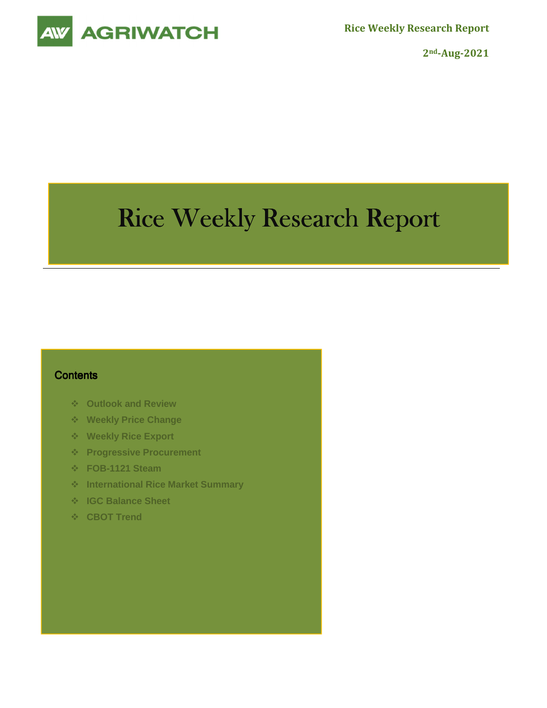



**2nd-Aug-2021** 

# Rice Weekly Research Report

#### **Contents**

- **Outlook and Review**
- **Weekly Price Change**
- **Weekly Rice Export**
- **Progressive Procurement**
- **FOB-1121 Steam**
- **International Rice Market Summary**
- **IGC Balance Sheet**
- **CBOT Trend**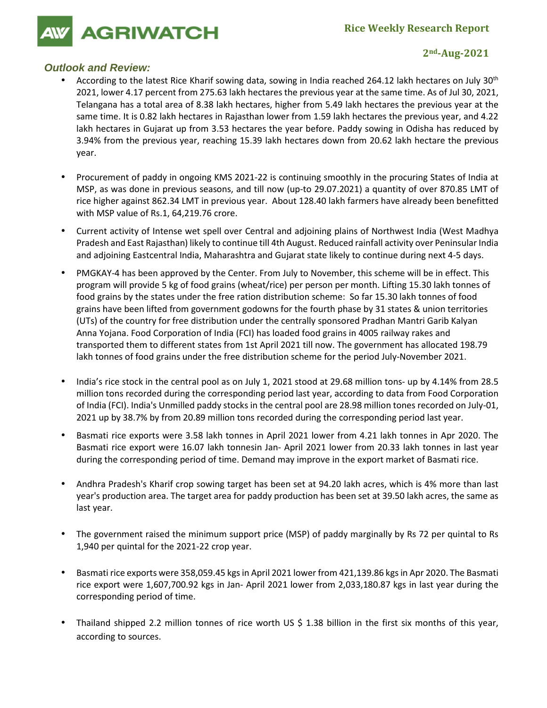**AGRIWATCH** 

#### **2nd-Aug-2021**

## **Outlook and Review:**

- According to the latest Rice Kharif sowing data, sowing in India reached 264.12 lakh hectares on July 30<sup>th</sup> 2021, lower 4.17 percent from 275.63 lakh hectares the previous year at the same time. As of Jul 30, 2021, Telangana has a total area of 8.38 lakh hectares, higher from 5.49 lakh hectares the previous year at the same time. It is 0.82 lakh hectares in Rajasthan lower from 1.59 lakh hectares the previous year, and 4.22 lakh hectares in Gujarat up from 3.53 hectares the year before. Paddy sowing in Odisha has reduced by 3.94% from the previous year, reaching 15.39 lakh hectares down from 20.62 lakh hectare the previous year.
- Procurement of paddy in ongoing KMS 2021-22 is continuing smoothly in the procuring States of India at MSP, as was done in previous seasons, and till now (up-to 29.07.2021) a quantity of over 870.85 LMT of rice higher against 862.34 LMT in previous year. About 128.40 lakh farmers have already been benefitted with MSP value of Rs.1, 64,219.76 crore.
- Current activity of Intense wet spell over Central and adjoining plains of Northwest India (West Madhya Pradesh and East Rajasthan) likely to continue till 4th August. Reduced rainfall activity over Peninsular India and adjoining Eastcentral India, Maharashtra and Gujarat state likely to continue during next 4-5 days.
- PMGKAY-4 has been approved by the Center. From July to November, this scheme will be in effect. This program will provide 5 kg of food grains (wheat/rice) per person per month. Lifting 15.30 lakh tonnes of food grains by the states under the free ration distribution scheme: So far 15.30 lakh tonnes of food grains have been lifted from government godowns for the fourth phase by 31 states & union territories (UTs) of the country for free distribution under the centrally sponsored Pradhan Mantri Garib Kalyan Anna Yojana. Food Corporation of India (FCI) has loaded food grains in 4005 railway rakes and transported them to different states from 1st April 2021 till now. The government has allocated 198.79 lakh tonnes of food grains under the free distribution scheme for the period July-November 2021.
- India's rice stock in the central pool as on July 1, 2021 stood at 29.68 million tons- up by 4.14% from 28.5 million tons recorded during the corresponding period last year, according to data from Food Corporation of India (FCI). India's Unmilled paddy stocks in the central pool are 28.98 million tones recorded on July-01, 2021 up by 38.7% by from 20.89 million tons recorded during the corresponding period last year.
- Basmati rice exports were 3.58 lakh tonnes in April 2021 lower from 4.21 lakh tonnes in Apr 2020. The Basmati rice export were 16.07 lakh tonnesin Jan- April 2021 lower from 20.33 lakh tonnes in last year during the corresponding period of time. Demand may improve in the export market of Basmati rice.
- Andhra Pradesh's Kharif crop sowing target has been set at 94.20 lakh acres, which is 4% more than last year's production area. The target area for paddy production has been set at 39.50 lakh acres, the same as last year.
- The government raised the minimum support price (MSP) of paddy marginally by Rs 72 per quintal to Rs 1,940 per quintal for the 2021-22 crop year.
- Basmati rice exports were 358,059.45 kgs in April 2021 lower from 421,139.86 kgs in Apr 2020. The Basmati rice export were 1,607,700.92 kgs in Jan- April 2021 lower from 2,033,180.87 kgs in last year during the corresponding period of time.
- Thailand shipped 2.2 million tonnes of rice worth US \$ 1.38 billion in the first six months of this year, according to sources.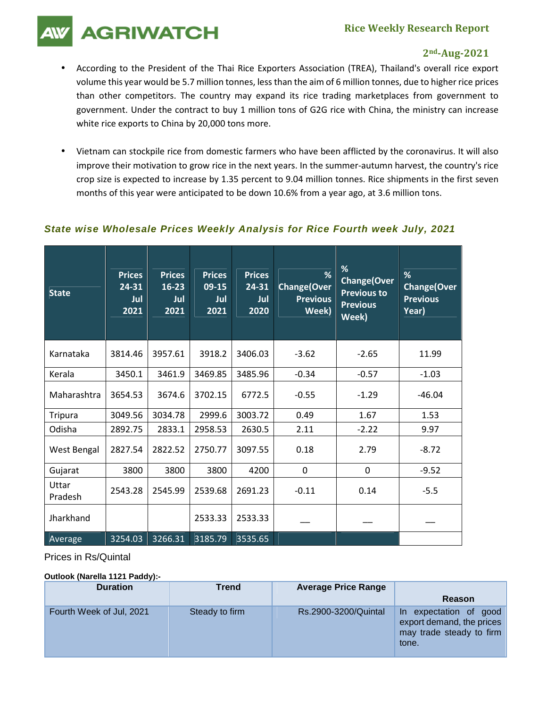# **Rice Weekly Research Report**

**AGRIWATCH** 

## **2nd-Aug-2021**

- According to the President of the Thai Rice Exporters Association (TREA), Thailand's overall rice export volume this year would be 5.7 million tonnes, less than the aim of 6 million tonnes, due to higher rice prices than other competitors. The country may expand its rice trading marketplaces from government to government. Under the contract to buy 1 million tons of G2G rice with China, the ministry can increase white rice exports to China by 20,000 tons more.
- Vietnam can stockpile rice from domestic farmers who have been afflicted by the coronavirus. It will also improve their motivation to grow rice in the next years. In the summer-autumn harvest, the country's rice crop size is expected to increase by 1.35 percent to 9.04 million tonnes. Rice shipments in the first seven months of this year were anticipated to be down 10.6% from a year ago, at 3.6 million tons.

## **State wise Wholesale Prices Weekly Analysis for Rice Fourth week July, 2021**

| <b>State</b>     | <b>Prices</b><br>$24 - 31$<br>Jul<br>2021 | <b>Prices</b><br>$16 - 23$<br>Jul<br>2021 | <b>Prices</b><br>09-15<br>Jul<br>2021 | <b>Prices</b><br>24-31<br>Jul<br>2020 | %<br><b>Change(Over</b><br><b>Previous</b><br>Week) | %<br><b>Change(Over</b><br><b>Previous to</b><br><b>Previous</b><br>Week) | %<br>Change(Over<br><b>Previous</b><br>Year) |
|------------------|-------------------------------------------|-------------------------------------------|---------------------------------------|---------------------------------------|-----------------------------------------------------|---------------------------------------------------------------------------|----------------------------------------------|
| Karnataka        | 3814.46                                   | 3957.61                                   | 3918.2                                | 3406.03                               | $-3.62$                                             | $-2.65$                                                                   | 11.99                                        |
| Kerala           | 3450.1                                    | 3461.9                                    | 3469.85                               | 3485.96                               | $-0.34$                                             | $-0.57$                                                                   | $-1.03$                                      |
| Maharashtra      | 3654.53                                   | 3674.6                                    | 3702.15                               | 6772.5                                | $-0.55$                                             | $-1.29$                                                                   | $-46.04$                                     |
| <b>Tripura</b>   | 3049.56                                   | 3034.78                                   | 2999.6                                | 3003.72                               | 0.49                                                | 1.67                                                                      | 1.53                                         |
| Odisha           | 2892.75                                   | 2833.1                                    | 2958.53                               | 2630.5                                | 2.11                                                | $-2.22$                                                                   | 9.97                                         |
| West Bengal      | 2827.54                                   | 2822.52                                   | 2750.77                               | 3097.55                               | 0.18                                                | 2.79                                                                      | $-8.72$                                      |
| Gujarat          | 3800                                      | 3800                                      | 3800                                  | 4200                                  | 0                                                   | 0                                                                         | $-9.52$                                      |
| Uttar<br>Pradesh | 2543.28                                   | 2545.99                                   | 2539.68                               | 2691.23                               | $-0.11$                                             | 0.14                                                                      | $-5.5$                                       |
| Jharkhand        |                                           |                                           | 2533.33                               | 2533.33                               |                                                     |                                                                           |                                              |
| Average          | 3254.03                                   | 3266.31                                   | 3185.79                               | 3535.65                               |                                                     |                                                                           |                                              |

#### Prices in Rs/Quintal

#### **Outlook (Narella 1121 Paddy):-**

| <b>Duration</b>          | Trend          | <b>Average Price Range</b> |                                                                                          |
|--------------------------|----------------|----------------------------|------------------------------------------------------------------------------------------|
|                          |                |                            | Reason                                                                                   |
| Fourth Week of Jul, 2021 | Steady to firm | Rs.2900-3200/Quintal       | In expectation of good<br>export demand, the prices<br>may trade steady to firm<br>tone. |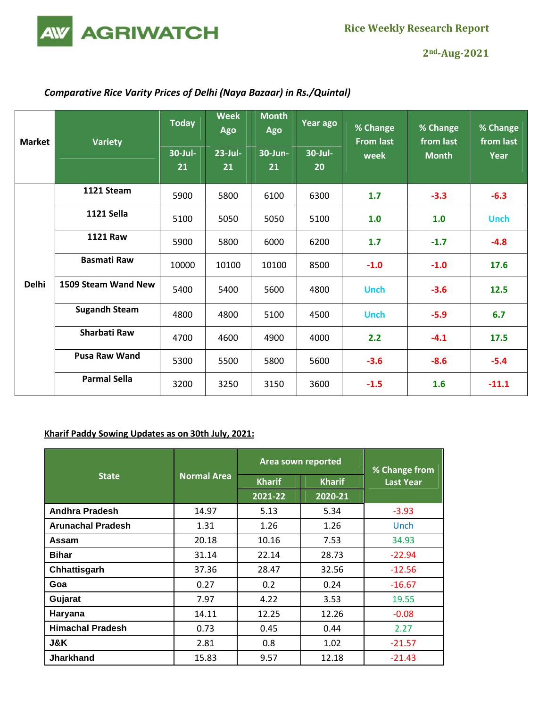

**2nd-Aug-2021** 

# *Comparative Rice Varity Prices of Delhi (Naya Bazaar) in Rs./Quintal)*

| <b>Market</b> | <b>Variety</b>       | <b>Today</b> | <b>Week</b><br>Ago | <b>Month</b><br>Ago | Year ago | % Change<br><b>From last</b> | % Change<br>from last<br><b>Month</b> | % Change<br>from last<br>Year |
|---------------|----------------------|--------------|--------------------|---------------------|----------|------------------------------|---------------------------------------|-------------------------------|
|               |                      | 30-Jul-      | $23$ -Jul-         | 30-Jun-             | 30-Jul-  | week                         |                                       |                               |
|               |                      | 21           | 21                 | 21                  | 20       |                              |                                       |                               |
|               |                      |              |                    |                     |          |                              |                                       |                               |
|               | 1121 Steam           | 5900         | 5800               | 6100                | 6300     | 1.7                          | $-3.3$                                | $-6.3$                        |
|               | <b>1121 Sella</b>    | 5100         | 5050               | 5050                | 5100     | 1.0                          | 1.0                                   | <b>Unch</b>                   |
|               | <b>1121 Raw</b>      | 5900         | 5800               | 6000                | 6200     | 1.7                          | $-1.7$                                | $-4.8$                        |
|               | <b>Basmati Raw</b>   | 10000        | 10100              | 10100               | 8500     | $-1.0$                       | $-1.0$                                | 17.6                          |
| <b>Delhi</b>  | 1509 Steam Wand New  | 5400         | 5400               | 5600                | 4800     | <b>Unch</b>                  | $-3.6$                                | 12.5                          |
|               | <b>Sugandh Steam</b> | 4800         | 4800               | 5100                | 4500     | <b>Unch</b>                  | $-5.9$                                | 6.7                           |
|               | <b>Sharbati Raw</b>  | 4700         | 4600               | 4900                | 4000     | 2.2                          | $-4.1$                                | 17.5                          |
|               | <b>Pusa Raw Wand</b> | 5300         | 5500               | 5800                | 5600     | $-3.6$                       | $-8.6$                                | $-5.4$                        |
|               | <b>Parmal Sella</b>  | 3200         | 3250               | 3150                | 3600     | $-1.5$                       | 1.6                                   | $-11.1$                       |

## **Kharif Paddy Sowing Updates as on 30th July, 2021:**

|                          |                    | Area sown reported | % Change from |                  |
|--------------------------|--------------------|--------------------|---------------|------------------|
| <b>State</b>             | <b>Normal Area</b> | <b>Kharif</b>      | <b>Kharif</b> | <b>Last Year</b> |
|                          |                    | 2021-22            | 2020-21       |                  |
| Andhra Pradesh           | 14.97              | 5.13               | 5.34          | $-3.93$          |
| <b>Arunachal Pradesh</b> | 1.31               | 1.26               | 1.26          | Unch             |
| Assam                    | 20.18              | 10.16              | 7.53          | 34.93            |
| <b>Bihar</b>             | 31.14              | 22.14              | 28.73         | $-22.94$         |
| Chhattisgarh             | 37.36              | 28.47              | 32.56         | $-12.56$         |
| Goa                      | 0.27               | 0.2                | 0.24          | $-16.67$         |
| Gujarat                  | 7.97               | 4.22               | 3.53          | 19.55            |
| Haryana                  | 14.11              | 12.25              | 12.26         | $-0.08$          |
| <b>Himachal Pradesh</b>  | 0.73               | 0.45               | 0.44          | 2.27             |
| J&K                      | 2.81               | 0.8                | 1.02          | $-21.57$         |
| <b>Jharkhand</b>         | 15.83              | 9.57               | 12.18         | $-21.43$         |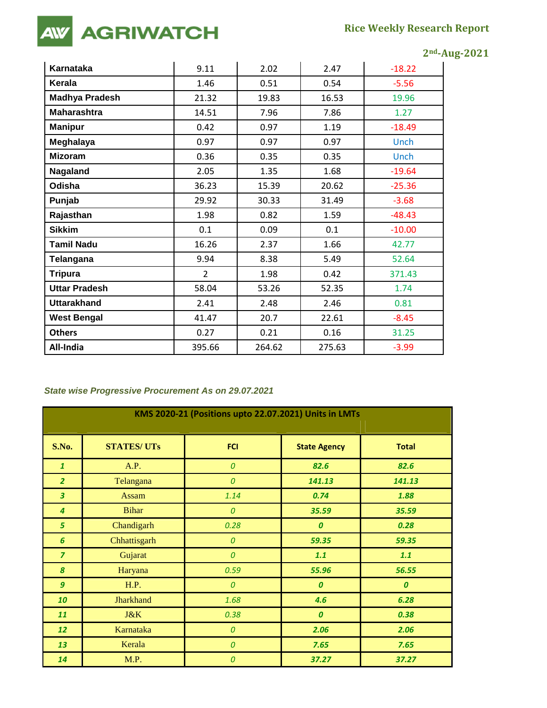# **AGRIWATCH AW**

|                       |                |        |        | $2nd$ -Aug-2021 |  |
|-----------------------|----------------|--------|--------|-----------------|--|
| Karnataka             | 9.11           | 2.02   | 2.47   | $-18.22$        |  |
| Kerala                | 1.46           | 0.51   | 0.54   | $-5.56$         |  |
| <b>Madhya Pradesh</b> | 21.32          | 19.83  | 16.53  | 19.96           |  |
| <b>Maharashtra</b>    | 14.51          | 7.96   | 7.86   | 1.27            |  |
| <b>Manipur</b>        | 0.42           | 0.97   | 1.19   | $-18.49$        |  |
| Meghalaya             | 0.97           | 0.97   | 0.97   | Unch            |  |
| <b>Mizoram</b>        | 0.36           | 0.35   | 0.35   | Unch            |  |
| Nagaland              | 2.05           | 1.35   | 1.68   | $-19.64$        |  |
| Odisha                | 36.23          | 15.39  | 20.62  | $-25.36$        |  |
| Punjab                | 29.92          | 30.33  | 31.49  | $-3.68$         |  |
| Rajasthan             | 1.98           | 0.82   | 1.59   | $-48.43$        |  |
| <b>Sikkim</b>         | 0.1            | 0.09   | 0.1    | $-10.00$        |  |
| <b>Tamil Nadu</b>     | 16.26          | 2.37   | 1.66   | 42.77           |  |
| Telangana             | 9.94           | 8.38   | 5.49   | 52.64           |  |
| <b>Tripura</b>        | $\overline{2}$ | 1.98   | 0.42   | 371.43          |  |
| <b>Uttar Pradesh</b>  | 58.04          | 53.26  | 52.35  | 1.74            |  |
| <b>Uttarakhand</b>    | 2.41           | 2.48   | 2.46   | 0.81            |  |
| <b>West Bengal</b>    | 41.47          | 20.7   | 22.61  | $-8.45$         |  |
| <b>Others</b>         | 0.27           | 0.21   | 0.16   | 31.25           |  |
| All-India             | 395.66         | 264.62 | 275.63 | $-3.99$         |  |

# **State wise Progressive Procurement As on 29.07.2021**

| KMS 2020-21 (Positions upto 22.07.2021) Units in LMTs |                   |                    |                     |                  |  |  |
|-------------------------------------------------------|-------------------|--------------------|---------------------|------------------|--|--|
|                                                       |                   |                    |                     |                  |  |  |
| <b>S.No.</b>                                          | <b>STATES/UTs</b> | <b>FCI</b>         | <b>State Agency</b> | <b>Total</b>     |  |  |
| $\mathbf{1}$                                          | A.P.              | $\pmb{\mathit{O}}$ | 82.6                | 82.6             |  |  |
| $\overline{2}$                                        | Telangana         | 0                  | 141.13              | 141.13           |  |  |
| $\overline{\mathbf{3}}$                               | Assam             | 1.14               | 0.74                | 1.88             |  |  |
| $\overline{4}$                                        | <b>Bihar</b>      | $\boldsymbol{0}$   | 35.59               | 35.59            |  |  |
| 5                                                     | Chandigarh        | 0.28               | $\boldsymbol{0}$    | 0.28             |  |  |
| 6                                                     | Chhattisgarh      | $\pmb{\mathit{O}}$ | 59.35               | 59.35            |  |  |
| $\overline{z}$                                        | Gujarat           | $\boldsymbol{0}$   | 1.1                 | 1.1              |  |  |
| 8                                                     | Haryana           | 0.59               | 55.96               | 56.55            |  |  |
| $\boldsymbol{g}$                                      | H.P.              | $\pmb{\mathit{O}}$ | $\boldsymbol{o}$    | $\boldsymbol{o}$ |  |  |
| 10                                                    | <b>Jharkhand</b>  | 1.68               | 4.6                 | 6.28             |  |  |
| 11                                                    | J&K               | 0.38               | $\boldsymbol{0}$    | 0.38             |  |  |
| 12                                                    | Karnataka         | $\boldsymbol{0}$   | 2.06                | 2.06             |  |  |
| 13                                                    | Kerala            | $\boldsymbol{0}$   | 7.65                | 7.65             |  |  |
| 14                                                    | M.P.              | $\boldsymbol{0}$   | 37.27               | 37.27            |  |  |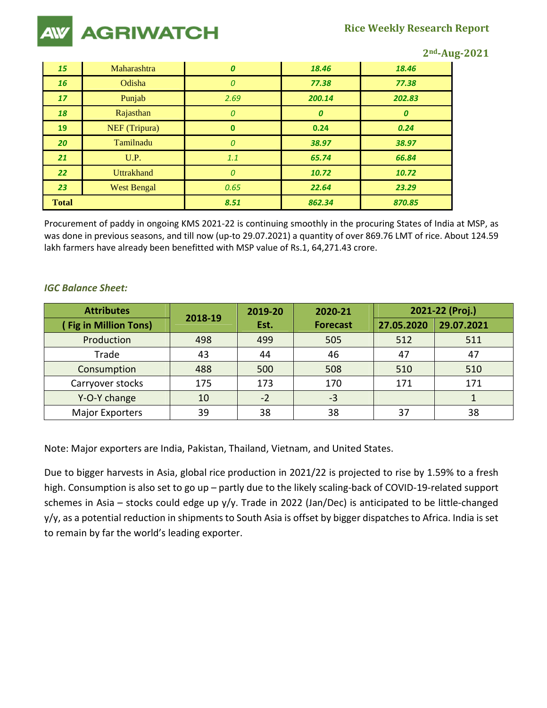

**2nd-Aug-2021** 

| 15              | Maharashtra        | 0        | 18.46  | 18.46  |
|-----------------|--------------------|----------|--------|--------|
| 16              | Odisha             | 0        | 77.38  | 77.38  |
| 17              | Punjab             | 2.69     | 200.14 | 202.83 |
| 18              | Rajasthan          | 0        | 0      | 0      |
| 19              | NEF (Tripura)      | $\bf{0}$ | 0.24   | 0.24   |
| 20              | Tamilnadu          | 0        | 38.97  | 38.97  |
| 21              | U.P.               | 1.1      | 65.74  | 66.84  |
| 22 <sub>2</sub> | <b>Uttrakhand</b>  | 0        | 10.72  | 10.72  |
| 23              | <b>West Bengal</b> | 0.65     | 22.64  | 23.29  |
| <b>Total</b>    |                    | 8.51     | 862.34 | 870.85 |

Procurement of paddy in ongoing KMS 2021-22 is continuing smoothly in the procuring States of India at MSP, as was done in previous seasons, and till now (up-to 29.07.2021) a quantity of over 869.76 LMT of rice. About 124.59 lakh farmers have already been benefitted with MSP value of Rs.1, 64,271.43 crore.

#### *IGC Balance Sheet:*

| <b>Attributes</b>           | 2018-19 | 2019-20 | 2020-21         | 2021-22 (Proj.) |            |  |
|-----------------------------|---------|---------|-----------------|-----------------|------------|--|
| <b>Fig in Million Tons)</b> |         | Est.    | <b>Forecast</b> | 27.05.2020      | 29.07.2021 |  |
| Production                  | 498     | 499     | 505             | 512             | 511        |  |
| Trade                       | 43      | 44      | 46              | 47              | 47         |  |
| Consumption                 | 488     | 500     | 508             | 510             | 510        |  |
| Carryover stocks            | 175     | 173     | 170             | 171             | 171        |  |
| Y-O-Y change                | 10      | $-2$    | $-3$            |                 |            |  |
| <b>Major Exporters</b>      | 39      | 38      | 38              | 37              | 38         |  |

Note: Major exporters are India, Pakistan, Thailand, Vietnam, and United States.

Due to bigger harvests in Asia, global rice production in 2021/22 is projected to rise by 1.59% to a fresh high. Consumption is also set to go up – partly due to the likely scaling-back of COVID-19-related support schemes in Asia – stocks could edge up y/y. Trade in 2022 (Jan/Dec) is anticipated to be little-changed y/y, as a potential reduction in shipments to South Asia is offset by bigger dispatches to Africa. India is set to remain by far the world's leading exporter.